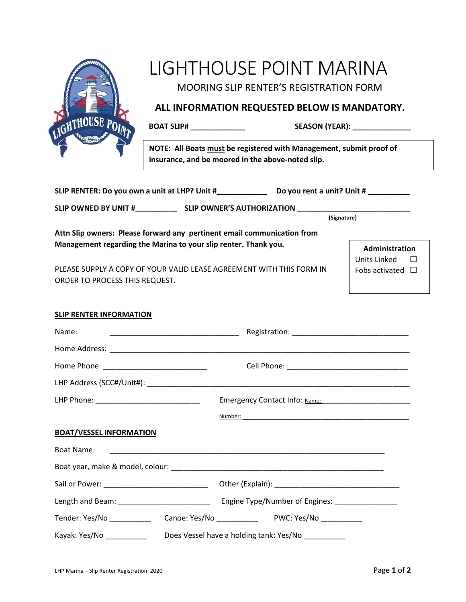

# LIGHTHOUSE POINT MARINA

MOORING SLIP RENTER'S REGISTRATION FORM

### **ALL INFORMATION REQUESTED BELOW IS MANDATORY.**

**BOAT SLIP# \_\_\_\_\_\_\_\_\_\_\_\_\_ SEASON (YEAR): \_\_\_\_\_\_\_\_\_\_\_\_\_\_**

**NOTE: All Boats must be registered with Management, submit proof of insurance, and be moored in the above-noted slip.**

|                                                                                                                                            | (Signature)                                                                                                                                                                                                                          |                                              |
|--------------------------------------------------------------------------------------------------------------------------------------------|--------------------------------------------------------------------------------------------------------------------------------------------------------------------------------------------------------------------------------------|----------------------------------------------|
| Attn Slip owners: Please forward any pertinent email communication from<br>Management regarding the Marina to your slip renter. Thank you. |                                                                                                                                                                                                                                      | Administration                               |
| PLEASE SUPPLY A COPY OF YOUR VALID LEASE AGREEMENT WITH THIS FORM IN<br>ORDER TO PROCESS THIS REQUEST.                                     |                                                                                                                                                                                                                                      | <b>Units Linked</b><br>Fobs activated $\Box$ |
| <b>SLIP RENTER INFORMATION</b>                                                                                                             |                                                                                                                                                                                                                                      |                                              |
| Name:                                                                                                                                      |                                                                                                                                                                                                                                      |                                              |
|                                                                                                                                            |                                                                                                                                                                                                                                      |                                              |
|                                                                                                                                            |                                                                                                                                                                                                                                      |                                              |
|                                                                                                                                            |                                                                                                                                                                                                                                      |                                              |
|                                                                                                                                            |                                                                                                                                                                                                                                      |                                              |
|                                                                                                                                            | <u>Number: 2000 - 2000 - 2000 - 2000 - 2000 - 2000 - 2000 - 2000 - 2000 - 2000 - 2000 - 2000 - 2000 - 2000 - 2000 - 2000 - 2000 - 2000 - 2000 - 2000 - 2000 - 2000 - 2000 - 2000 - 2000 - 2000 - 2000 - 2000 - 2000 - 2000 - 200</u> |                                              |
| <b>BOAT/VESSEL INFORMATION</b>                                                                                                             |                                                                                                                                                                                                                                      |                                              |
| <b>Boat Name:</b>                                                                                                                          |                                                                                                                                                                                                                                      |                                              |
|                                                                                                                                            |                                                                                                                                                                                                                                      |                                              |
|                                                                                                                                            |                                                                                                                                                                                                                                      |                                              |
|                                                                                                                                            |                                                                                                                                                                                                                                      |                                              |
|                                                                                                                                            |                                                                                                                                                                                                                                      |                                              |
| Kayak: Yes/No ____________                                                                                                                 | Does Vessel have a holding tank: Yes/No                                                                                                                                                                                              |                                              |